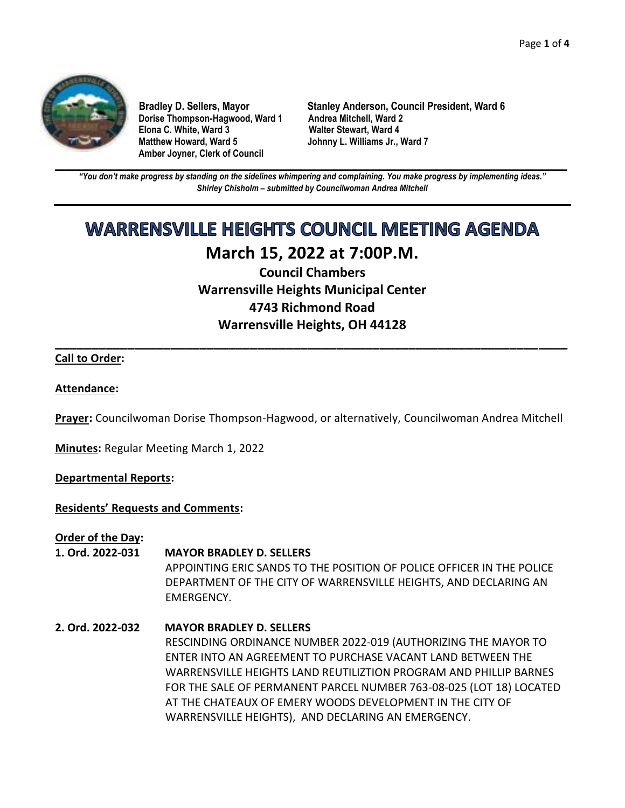

**Dorise Thompson-Hagwood, Ward 1 Andrea Mitchell, Ward 2 Elona C. White, Ward 3 Walter Stewart, Ward 4 Amber Joyner, Clerk of Council**

**Bradley D. Sellers, Mayor Stanley Anderson, Council President, Ward 6 Johnny L. Williams Jr., Ward 7** 

**\_\_\_\_\_\_\_\_\_\_\_\_\_\_\_\_\_\_\_\_\_\_\_\_\_\_\_\_\_\_\_\_\_\_\_\_\_\_\_\_\_\_\_\_\_\_\_\_\_\_\_\_\_\_\_\_\_\_\_\_\_\_\_\_\_\_\_\_\_\_\_\_\_\_\_\_\_\_\_\_\_\_\_\_\_\_\_\_\_\_\_\_\_\_\_\_\_\_\_\_\_\_\_\_\_\_\_\_\_\_** *"You don't make progress by standing on the sidelines whimpering and complaining. You make progress by implementing ideas." Shirley Chisholm – submitted by Councilwoman Andrea Mitchell*

# **WARRENSVILLE HEIGHTS COUNCIL MEETING AGENDA March 15, 2022 at 7:00P.M.**

**Council Chambers Warrensville Heights Municipal Center 4743 Richmond Road Warrensville Heights, OH 44128**

**\_\_\_\_\_\_\_\_\_\_\_\_\_\_\_\_\_\_\_\_\_\_\_\_\_\_\_\_\_\_\_\_\_\_\_\_\_\_\_\_\_\_\_\_\_\_\_\_\_\_\_\_\_\_\_\_\_\_\_\_\_\_\_\_\_\_\_\_\_\_\_**

## **Call to Order:**

#### **Attendance:**

**Prayer:** Councilwoman Dorise Thompson-Hagwood, or alternatively, Councilwoman Andrea Mitchell

**Minutes:** Regular Meeting March 1, 2022

#### **Departmental Reports:**

## **Residents' Requests and Comments:**

**Order of the Day:**

#### **1. Ord. 2022-031 MAYOR BRADLEY D. SELLERS**

APPOINTING ERIC SANDS TO THE POSITION OF POLICE OFFICER IN THE POLICE DEPARTMENT OF THE CITY OF WARRENSVILLE HEIGHTS, AND DECLARING AN EMERGENCY.

## **2. Ord. 2022-032 MAYOR BRADLEY D. SELLERS**

RESCINDING ORDINANCE NUMBER 2022-019 (AUTHORIZING THE MAYOR TO ENTER INTO AN AGREEMENT TO PURCHASE VACANT LAND BETWEEN THE WARRENSVILLE HEIGHTS LAND REUTILIZTION PROGRAM AND PHILLIP BARNES FOR THE SALE OF PERMANENT PARCEL NUMBER 763-08-025 (LOT 18) LOCATED AT THE CHATEAUX OF EMERY WOODS DEVELOPMENT IN THE CITY OF WARRENSVILLE HEIGHTS), AND DECLARING AN EMERGENCY.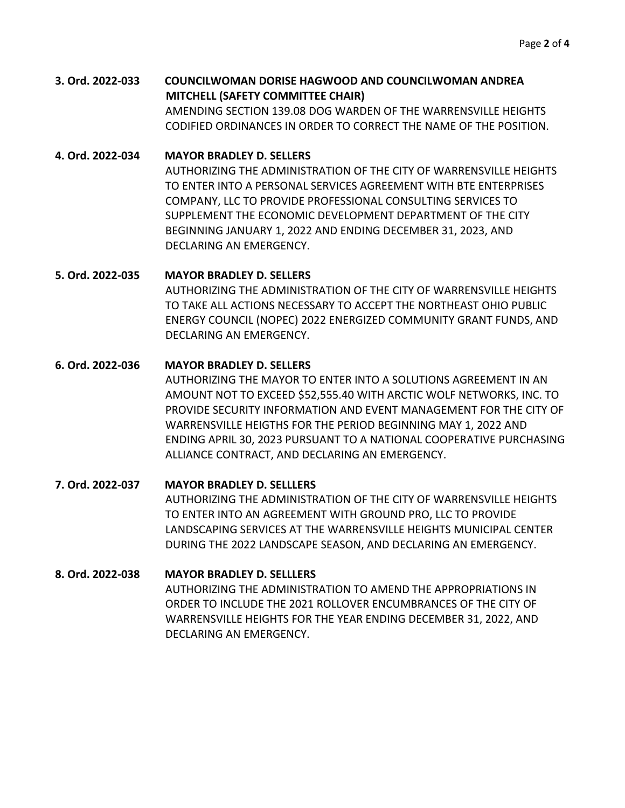**3. Ord. 2022-033 COUNCILWOMAN DORISE HAGWOOD AND COUNCILWOMAN ANDREA MITCHELL (SAFETY COMMITTEE CHAIR)** AMENDING SECTION 139.08 DOG WARDEN OF THE WARRENSVILLE HEIGHTS CODIFIED ORDINANCES IN ORDER TO CORRECT THE NAME OF THE POSITION.

#### **4. Ord. 2022-034 MAYOR BRADLEY D. SELLERS**

AUTHORIZING THE ADMINISTRATION OF THE CITY OF WARRENSVILLE HEIGHTS TO ENTER INTO A PERSONAL SERVICES AGREEMENT WITH BTE ENTERPRISES COMPANY, LLC TO PROVIDE PROFESSIONAL CONSULTING SERVICES TO SUPPLEMENT THE ECONOMIC DEVELOPMENT DEPARTMENT OF THE CITY BEGINNING JANUARY 1, 2022 AND ENDING DECEMBER 31, 2023, AND DECLARING AN EMERGENCY.

## **5. Ord. 2022-035 MAYOR BRADLEY D. SELLERS**

AUTHORIZING THE ADMINISTRATION OF THE CITY OF WARRENSVILLE HEIGHTS TO TAKE ALL ACTIONS NECESSARY TO ACCEPT THE NORTHEAST OHIO PUBLIC ENERGY COUNCIL (NOPEC) 2022 ENERGIZED COMMUNITY GRANT FUNDS, AND DECLARING AN EMERGENCY.

## **6. Ord. 2022-036 MAYOR BRADLEY D. SELLERS**

AUTHORIZING THE MAYOR TO ENTER INTO A SOLUTIONS AGREEMENT IN AN AMOUNT NOT TO EXCEED \$52,555.40 WITH ARCTIC WOLF NETWORKS, INC. TO PROVIDE SECURITY INFORMATION AND EVENT MANAGEMENT FOR THE CITY OF WARRENSVILLE HEIGTHS FOR THE PERIOD BEGINNING MAY 1, 2022 AND ENDING APRIL 30, 2023 PURSUANT TO A NATIONAL COOPERATIVE PURCHASING ALLIANCE CONTRACT, AND DECLARING AN EMERGENCY.

## **7. Ord. 2022-037 MAYOR BRADLEY D. SELLLERS**

AUTHORIZING THE ADMINISTRATION OF THE CITY OF WARRENSVILLE HEIGHTS TO ENTER INTO AN AGREEMENT WITH GROUND PRO, LLC TO PROVIDE LANDSCAPING SERVICES AT THE WARRENSVILLE HEIGHTS MUNICIPAL CENTER DURING THE 2022 LANDSCAPE SEASON, AND DECLARING AN EMERGENCY.

## **8. Ord. 2022-038 MAYOR BRADLEY D. SELLLERS**

AUTHORIZING THE ADMINISTRATION TO AMEND THE APPROPRIATIONS IN ORDER TO INCLUDE THE 2021 ROLLOVER ENCUMBRANCES OF THE CITY OF WARRENSVILLE HEIGHTS FOR THE YEAR ENDING DECEMBER 31, 2022, AND DECLARING AN EMERGENCY.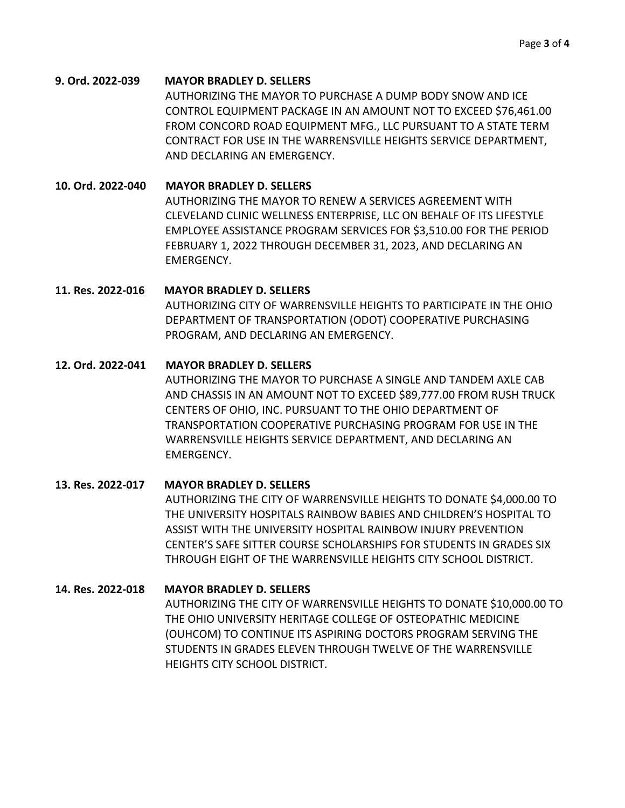## **9. Ord. 2022-039 MAYOR BRADLEY D. SELLERS**

AUTHORIZING THE MAYOR TO PURCHASE A DUMP BODY SNOW AND ICE CONTROL EQUIPMENT PACKAGE IN AN AMOUNT NOT TO EXCEED \$76,461.00 FROM CONCORD ROAD EQUIPMENT MFG., LLC PURSUANT TO A STATE TERM CONTRACT FOR USE IN THE WARRENSVILLE HEIGHTS SERVICE DEPARTMENT, AND DECLARING AN EMERGENCY.

#### **10. Ord. 2022-040 MAYOR BRADLEY D. SELLERS**

AUTHORIZING THE MAYOR TO RENEW A SERVICES AGREEMENT WITH CLEVELAND CLINIC WELLNESS ENTERPRISE, LLC ON BEHALF OF ITS LIFESTYLE EMPLOYEE ASSISTANCE PROGRAM SERVICES FOR \$3,510.00 FOR THE PERIOD FEBRUARY 1, 2022 THROUGH DECEMBER 31, 2023, AND DECLARING AN EMERGENCY.

#### **11. Res. 2022-016 MAYOR BRADLEY D. SELLERS**

AUTHORIZING CITY OF WARRENSVILLE HEIGHTS TO PARTICIPATE IN THE OHIO DEPARTMENT OF TRANSPORTATION (ODOT) COOPERATIVE PURCHASING PROGRAM, AND DECLARING AN EMERGENCY.

#### **12. Ord. 2022-041 MAYOR BRADLEY D. SELLERS**

AUTHORIZING THE MAYOR TO PURCHASE A SINGLE AND TANDEM AXLE CAB AND CHASSIS IN AN AMOUNT NOT TO EXCEED \$89,777.00 FROM RUSH TRUCK CENTERS OF OHIO, INC. PURSUANT TO THE OHIO DEPARTMENT OF TRANSPORTATION COOPERATIVE PURCHASING PROGRAM FOR USE IN THE WARRENSVILLE HEIGHTS SERVICE DEPARTMENT, AND DECLARING AN EMERGENCY.

## **13. Res. 2022-017 MAYOR BRADLEY D. SELLERS**

AUTHORIZING THE CITY OF WARRENSVILLE HEIGHTS TO DONATE \$4,000.00 TO THE UNIVERSITY HOSPITALS RAINBOW BABIES AND CHILDREN'S HOSPITAL TO ASSIST WITH THE UNIVERSITY HOSPITAL RAINBOW INJURY PREVENTION CENTER'S SAFE SITTER COURSE SCHOLARSHIPS FOR STUDENTS IN GRADES SIX THROUGH EIGHT OF THE WARRENSVILLE HEIGHTS CITY SCHOOL DISTRICT.

## **14. Res. 2022-018 MAYOR BRADLEY D. SELLERS**

AUTHORIZING THE CITY OF WARRENSVILLE HEIGHTS TO DONATE \$10,000.00 TO THE OHIO UNIVERSITY HERITAGE COLLEGE OF OSTEOPATHIC MEDICINE (OUHCOM) TO CONTINUE ITS ASPIRING DOCTORS PROGRAM SERVING THE STUDENTS IN GRADES ELEVEN THROUGH TWELVE OF THE WARRENSVILLE HEIGHTS CITY SCHOOL DISTRICT.